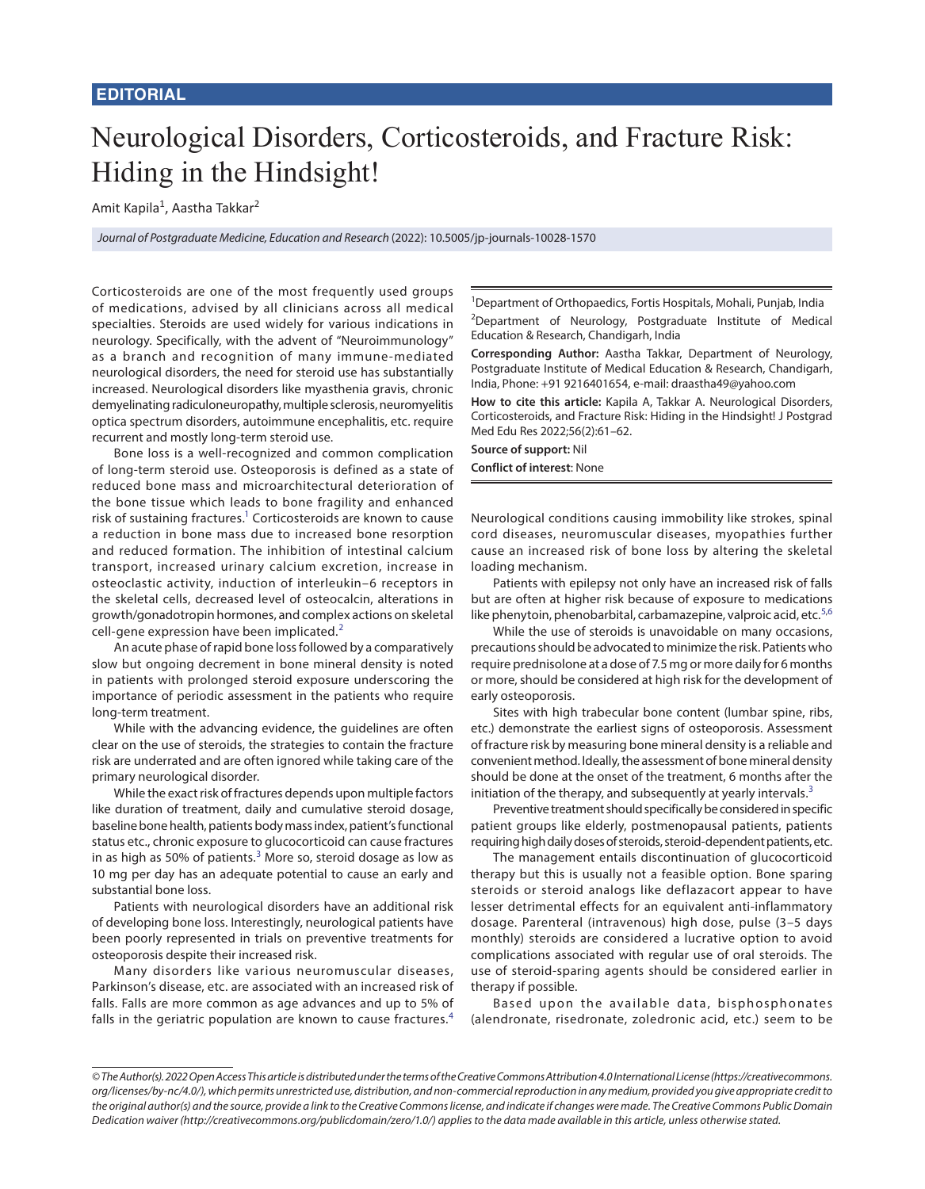## Neurological Disorders, Corticosteroids, and Fracture Risk: Hiding in the Hindsight!

Amit Kapila<sup>1</sup>, Aastha Takkar<sup>2</sup>

*Journal of Postgraduate Medicine, Education and Research* (2022): 10.5005/jp-journals-10028-1570

Corticosteroids are one of the most frequently used groups of medications, advised by all clinicians across all medical specialties. Steroids are used widely for various indications in neurology. Specifically, with the advent of "Neuroimmunology" as a branch and recognition of many immune-mediated neurological disorders, the need for steroid use has substantially increased. Neurological disorders like myasthenia gravis, chronic demyelinating radiculoneuropathy, multiple sclerosis, neuromyelitis optica spectrum disorders, autoimmune encephalitis, etc. require recurrent and mostly long-term steroid use.

Bone loss is a well-recognized and common complication of long-term steroid use. Osteoporosis is defined as a state of reduced bone mass and microarchitectural deterioration of the bone tissue which leads to bone fragility and enhanced risk of sustaining fractures.<sup>1</sup> Corticosteroids are known to cause a reduction in bone mass due to increased bone resorption and reduced formation. The inhibition of intestinal calcium transport, increased urinary calcium excretion, increase in osteoclastic activity, induction of interleukin–6 receptors in the skeletal cells, decreased level of osteocalcin, alterations in growth/gonadotropin hormones, and complex actions on skeletal cell-gene expression have been implicated.<sup>[2](#page-1-4)</sup>

An acute phase of rapid bone loss followed by a comparatively slow but ongoing decrement in bone mineral density is noted in patients with prolonged steroid exposure underscoring the importance of periodic assessment in the patients who require long-term treatment.

While with the advancing evidence, the guidelines are often clear on the use of steroids, the strategies to contain the fracture risk are underrated and are often ignored while taking care of the primary neurological disorder.

While the exact risk of fractures depends upon multiple factors like duration of treatment, daily and cumulative steroid dosage, baseline bone health, patients body mass index, patient's functional status etc., chronic exposure to glucocorticoid can cause fractures in as high as 50% of patients. $3$  More so, steroid dosage as low as 10 mg per day has an adequate potential to cause an early and substantial bone loss.

Patients with neurological disorders have an additional risk of developing bone loss. Interestingly, neurological patients have been poorly represented in trials on preventive treatments for osteoporosis despite their increased risk.

Many disorders like various neuromuscular diseases, Parkinson's disease, etc. are associated with an increased risk of falls. Falls are more common as age advances and up to 5% of falls in the geriatric population are known to cause fractures.<sup>[4](#page-1-5)</sup>

1 Department of Orthopaedics, Fortis Hospitals, Mohali, Punjab, India <sup>2</sup>Department of Neurology, Postgraduate Institute of Medical Education & Research, Chandigarh, India

**Corresponding Author:** Aastha Takkar, Department of Neurology, Postgraduate Institute of Medical Education & Research, Chandigarh, India, Phone: +91 9216401654, e-mail: draastha49@yahoo.com

**How to cite this article:** Kapila A, Takkar A. Neurological Disorders, Corticosteroids, and Fracture Risk: Hiding in the Hindsight! J Postgrad Med Edu Res 2022;56(2):61–62.

**Source of support:** Nil **Conflict of interest**: None

<span id="page-0-0"></span>Neurological conditions causing immobility like strokes, spinal cord diseases, neuromuscular diseases, myopathies further cause an increased risk of bone loss by altering the skeletal loading mechanism.

Patients with epilepsy not only have an increased risk of falls but are often at higher risk because of exposure to medications like phenytoin, phenobarbital, carbamazepine, valproic acid, etc. $5,6$  $5,6$ 

<span id="page-0-5"></span><span id="page-0-4"></span><span id="page-0-1"></span>While the use of steroids is unavoidable on many occasions, precautions should be advocated to minimize the risk. Patients who require prednisolone at a dose of 7.5 mg or more daily for 6 months or more, should be considered at high risk for the development of early osteoporosis.

Sites with high trabecular bone content (lumbar spine, ribs, etc.) demonstrate the earliest signs of osteoporosis. Assessment of fracture risk by measuring bone mineral density is a reliable and convenient method. Ideally, the assessment of bone mineral density should be done at the onset of the treatment, 6 months after the initiation of the therapy, and subsequently at yearly intervals. $3$ 

Preventive treatment should specifically be considered in specific patient groups like elderly, postmenopausal patients, patients requiring high daily doses of steroids, steroid-dependent patients, etc.

<span id="page-0-2"></span>The management entails discontinuation of glucocorticoid therapy but this is usually not a feasible option. Bone sparing steroids or steroid analogs like deflazacort appear to have lesser detrimental effects for an equivalent anti-inflammatory dosage. Parenteral (intravenous) high dose, pulse (3–5 days monthly) steroids are considered a lucrative option to avoid complications associated with regular use of oral steroids. The use of steroid-sparing agents should be considered earlier in therapy if possible.

<span id="page-0-3"></span>Based upon the available data, bisphosphonates (alendronate, risedronate, zoledronic acid, etc.) seem to be

*<sup>©</sup> The Author(s). 2022 Open Access This article is distributed under the terms of the Creative Commons Attribution 4.0 International License (https://creativecommons. org/licenses/by-nc/4.0/), which permits unrestricted use, distribution, and non-commercial reproduction in any medium, provided you give appropriate credit to the original author(s) and the source, provide a link to the Creative Commons license, and indicate if changes were made. The Creative Commons Public Domain Dedication waiver (http://creativecommons.org/publicdomain/zero/1.0/) applies to the data made available in this article, unless otherwise stated.*